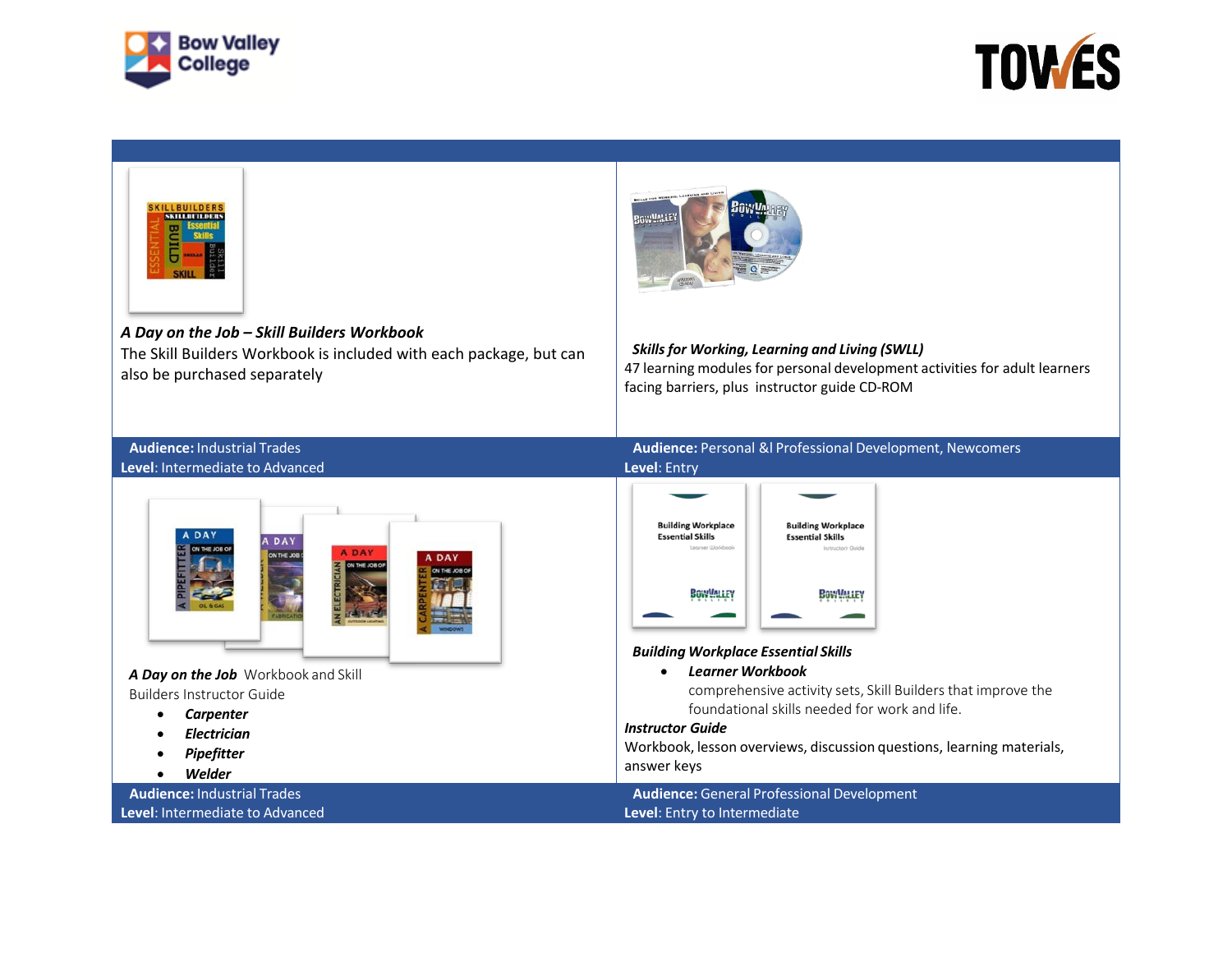



| <b>ILLBUILDERS</b><br><b>SKILLBUILDERS</b><br>Butte<br>A Day on the Job - Skill Builders Workbook<br>The Skill Builders Workbook is included with each package, but can<br>also be purchased separately          | BOWUALE<br><b>Skills for Working, Learning and Living (SWLL)</b><br>47 learning modules for personal development activities for adult learners<br>facing barriers, plus instructor guide CD-ROM                                                                                                                                                                                                                                                                                                    |
|------------------------------------------------------------------------------------------------------------------------------------------------------------------------------------------------------------------|----------------------------------------------------------------------------------------------------------------------------------------------------------------------------------------------------------------------------------------------------------------------------------------------------------------------------------------------------------------------------------------------------------------------------------------------------------------------------------------------------|
| <b>Audience: Industrial Trades</b>                                                                                                                                                                               | Audience: Personal &I Professional Development, Newcomers                                                                                                                                                                                                                                                                                                                                                                                                                                          |
| Level: Intermediate to Advanced                                                                                                                                                                                  | Level: Entry                                                                                                                                                                                                                                                                                                                                                                                                                                                                                       |
| A DAY<br>A DAY<br>THE JOB 6<br><b>ADAY</b><br>DAY<br>N THE JOB (<br>A Day on the Job Workbook and Skill<br><b>Builders Instructor Guide</b><br>Carpenter<br>٠<br><b>Electrician</b><br>c<br>Pipefitter<br>Welder | <b>Building Workplace</b><br><b>Building Workplace</b><br><b>Essential Skills</b><br><b>Essential Skills</b><br>Leoner Worldson<br>Indructor's Guide<br>BOWYALLEY<br><b>BOWYMALEY</b><br><b>Building Workplace Essential Skills</b><br><b>Learner Workbook</b><br>comprehensive activity sets, Skill Builders that improve the<br>foundational skills needed for work and life.<br><b>Instructor Guide</b><br>Workbook, lesson overviews, discussion questions, learning materials,<br>answer keys |
| <b>Audience: Industrial Trades</b>                                                                                                                                                                               | Audience: General Professional Development                                                                                                                                                                                                                                                                                                                                                                                                                                                         |
| Level: Intermediate to Advanced                                                                                                                                                                                  | Level: Entry to Intermediate                                                                                                                                                                                                                                                                                                                                                                                                                                                                       |